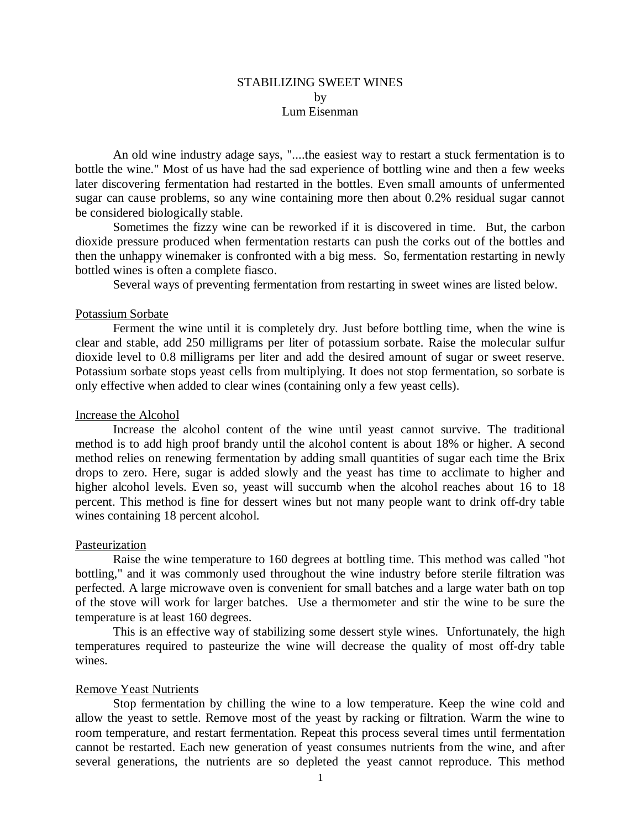## STABILIZING SWEET WINES by Lum Eisenman

An old wine industry adage says, "....the easiest way to restart a stuck fermentation is to bottle the wine." Most of us have had the sad experience of bottling wine and then a few weeks later discovering fermentation had restarted in the bottles. Even small amounts of unfermented sugar can cause problems, so any wine containing more then about 0.2% residual sugar cannot be considered biologically stable.

Sometimes the fizzy wine can be reworked if it is discovered in time. But, the carbon dioxide pressure produced when fermentation restarts can push the corks out of the bottles and then the unhappy winemaker is confronted with a big mess. So, fermentation restarting in newly bottled wines is often a complete fiasco.

Several ways of preventing fermentation from restarting in sweet wines are listed below.

## Potassium Sorbate

Ferment the wine until it is completely dry. Just before bottling time, when the wine is clear and stable, add 250 milligrams per liter of potassium sorbate. Raise the molecular sulfur dioxide level to 0.8 milligrams per liter and add the desired amount of sugar or sweet reserve. Potassium sorbate stops yeast cells from multiplying. It does not stop fermentation, so sorbate is only effective when added to clear wines (containing only a few yeast cells).

## Increase the Alcohol

Increase the alcohol content of the wine until yeast cannot survive. The traditional method is to add high proof brandy until the alcohol content is about 18% or higher. A second method relies on renewing fermentation by adding small quantities of sugar each time the Brix drops to zero. Here, sugar is added slowly and the yeast has time to acclimate to higher and higher alcohol levels. Even so, yeast will succumb when the alcohol reaches about 16 to 18 percent. This method is fine for dessert wines but not many people want to drink off-dry table wines containing 18 percent alcohol.

#### Pasteurization

Raise the wine temperature to 160 degrees at bottling time. This method was called "hot bottling," and it was commonly used throughout the wine industry before sterile filtration was perfected. A large microwave oven is convenient for small batches and a large water bath on top of the stove will work for larger batches. Use a thermometer and stir the wine to be sure the temperature is at least 160 degrees.

This is an effective way of stabilizing some dessert style wines. Unfortunately, the high temperatures required to pasteurize the wine will decrease the quality of most off-dry table wines.

## Remove Yeast Nutrients

Stop fermentation by chilling the wine to a low temperature. Keep the wine cold and allow the yeast to settle. Remove most of the yeast by racking or filtration. Warm the wine to room temperature, and restart fermentation. Repeat this process several times until fermentation cannot be restarted. Each new generation of yeast consumes nutrients from the wine, and after several generations, the nutrients are so depleted the yeast cannot reproduce. This method